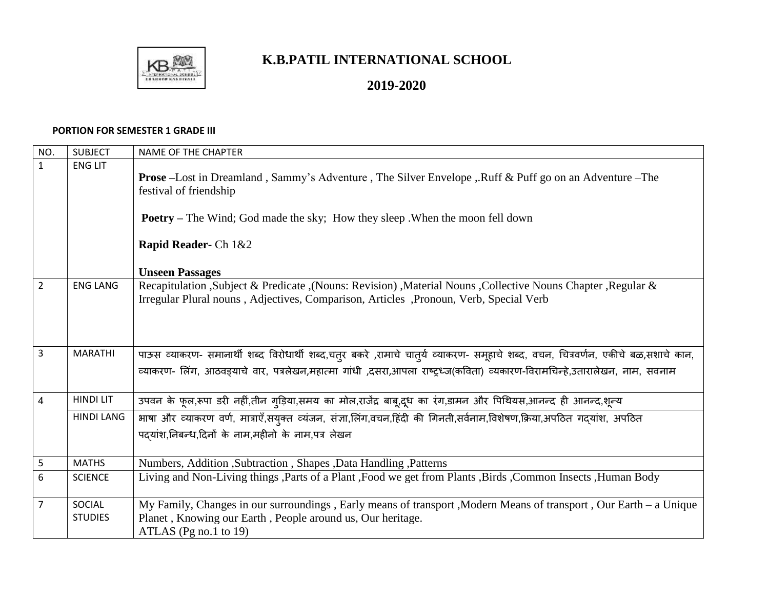

## **K.B.PATIL INTERNATIONAL SCHOOL**

## **2019-2020**

## **PORTION FOR SEMESTER 1 GRADE III**

| NO.            | <b>SUBJECT</b>    | <b>NAME OF THE CHAPTER</b>                                                                                                                                                                                |
|----------------|-------------------|-----------------------------------------------------------------------------------------------------------------------------------------------------------------------------------------------------------|
| $\mathbf{1}$   | <b>ENG LIT</b>    | <b>Prose</b> –Lost in Dreamland, Sammy's Adventure, The Silver Envelope, Ruff & Puff go on an Adventure –The                                                                                              |
|                |                   | festival of friendship                                                                                                                                                                                    |
|                |                   | <b>Poetry</b> – The Wind; God made the sky; How they sleep. When the moon fell down                                                                                                                       |
|                |                   | Rapid Reader- Ch 1&2                                                                                                                                                                                      |
|                |                   | <b>Unseen Passages</b>                                                                                                                                                                                    |
| $\overline{2}$ | <b>ENG LANG</b>   | Recapitulation , Subject & Predicate , (Nouns: Revision) , Material Nouns , Collective Nouns Chapter , Regular &<br>Irregular Plural nouns, Adjectives, Comparison, Articles, Pronoun, Verb, Special Verb |
|                |                   |                                                                                                                                                                                                           |
|                |                   |                                                                                                                                                                                                           |
|                |                   |                                                                                                                                                                                                           |
| $\overline{3}$ | <b>MARATHI</b>    | पाऊस व्याकरण- समानार्थी शब्द विरोधार्थी शब्द,चतुर बकरे ,रामाचे चातुर्य व्याकरण- समूहाचे शब्द, वचन, चित्रवर्णन, एकीचे बळ,सशाचे कान,                                                                        |
|                |                   | व्याकरण- लिंग, आठवड़याचे वार, पत्रलेखन,महात्मा गांधी ,दसरा,आपला राष्ट्रध्ज(कविता) व्यकारण-विरामचिन्हे,उतारालेखन, नाम, सवनाम                                                                               |
| $\overline{4}$ | <b>HINDI LIT</b>  | उपवन के फूल,रूपा डरी नहीं,तीन गुड़िया,समय का मोल,राजेंद्र बाबू,दूध का रंग,डामन और पिथियस,आनन्द ही आनन्द,शून्य                                                                                             |
|                | <b>HINDI LANG</b> | भाषा और व्याकरण वर्ण, मात्राएँ,सयुक्त व्यंजन, संज्ञा,लिंग,वचन,हिंदी की गिनती,सर्वनाम,विशेषण,क्रिया,अपठित गदयांश, अपठित                                                                                    |
|                |                   | पदयांश,निबन्ध,दिनों के नाम,महीनो के नाम,पत्र लेखन                                                                                                                                                         |
| $\mathsf S$    | <b>MATHS</b>      | Numbers, Addition , Subtraction , Shapes , Data Handling , Patterns                                                                                                                                       |
| 6              | <b>SCIENCE</b>    | Living and Non-Living things ,Parts of a Plant ,Food we get from Plants ,Birds ,Common Insects ,Human Body                                                                                                |
|                |                   |                                                                                                                                                                                                           |
| $\overline{7}$ | SOCIAL            | My Family, Changes in our surroundings, Early means of transport, Modern Means of transport, Our Earth - a Unique                                                                                         |
|                | <b>STUDIES</b>    | Planet, Knowing our Earth, People around us, Our heritage.                                                                                                                                                |
|                |                   | ATLAS (Pg no.1 to 19)                                                                                                                                                                                     |